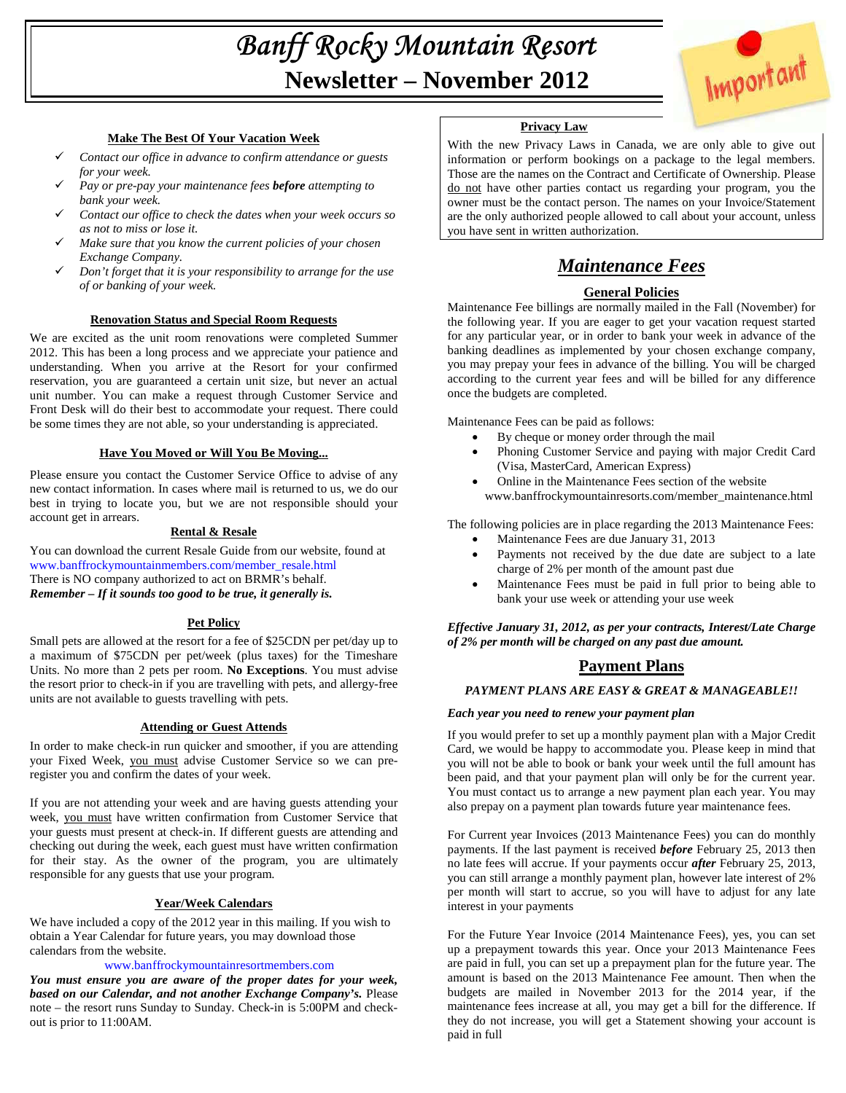# Banff Rocky Mountain Resort **Newsletter – November 2012**



# **Make The Best Of Your Vacation Week**

- *Contact our office in advance to confirm attendance or guests for your week.*
- *Pay or pre-pay your maintenance fees before attempting to bank your week.*
- *Contact our office to check the dates when your week occurs so as not to miss or lose it.*
- *Make sure that you know the current policies of your chosen Exchange Company.*
- *Don't forget that it is your responsibility to arrange for the use of or banking of your week.*

# **Renovation Status and Special Room Requests**

We are excited as the unit room renovations were completed Summer 2012. This has been a long process and we appreciate your patience and understanding. When you arrive at the Resort for your confirmed reservation, you are guaranteed a certain unit size, but never an actual unit number. You can make a request through Customer Service and Front Desk will do their best to accommodate your request. There could be some times they are not able, so your understanding is appreciated.

# **Have You Moved or Will You Be Moving...**

Please ensure you contact the Customer Service Office to advise of any new contact information. In cases where mail is returned to us, we do our best in trying to locate you, but we are not responsible should your account get in arrears.

# **Rental & Resale**

You can download the current Resale Guide from our website, found at www.banffrockymountainmembers.com/member\_resale.html There is NO company authorized to act on BRMR's behalf. *Remember – If it sounds too good to be true, it generally is.* 

# **Pet Policy**

Small pets are allowed at the resort for a fee of \$25CDN per pet/day up to a maximum of \$75CDN per pet/week (plus taxes) for the Timeshare Units. No more than 2 pets per room. **No Exceptions**. You must advise the resort prior to check-in if you are travelling with pets, and allergy-free units are not available to guests travelling with pets.

# **Attending or Guest Attends**

In order to make check-in run quicker and smoother, if you are attending your Fixed Week, you must advise Customer Service so we can preregister you and confirm the dates of your week.

If you are not attending your week and are having guests attending your week, you must have written confirmation from Customer Service that your guests must present at check-in. If different guests are attending and checking out during the week, each guest must have written confirmation for their stay. As the owner of the program, you are ultimately responsible for any guests that use your program.

# **Year/Week Calendars**

We have included a copy of the 2012 year in this mailing. If you wish to obtain a Year Calendar for future years, you may download those calendars from the website.

# www.banffrockymountainresortmembers.com

*You must ensure you are aware of the proper dates for your week, based on our Calendar, and not another Exchange Company's.* Please note – the resort runs Sunday to Sunday. Check-in is 5:00PM and checkout is prior to 11:00AM.

# **Privacy Law**

With the new Privacy Laws in Canada, we are only able to give out information or perform bookings on a package to the legal members. Those are the names on the Contract and Certificate of Ownership. Please do not have other parties contact us regarding your program, you the owner must be the contact person. The names on your Invoice/Statement are the only authorized people allowed to call about your account, unless you have sent in written authorization.

# *Maintenance Fees*

# **General Policies**

Maintenance Fee billings are normally mailed in the Fall (November) for the following year. If you are eager to get your vacation request started for any particular year, or in order to bank your week in advance of the banking deadlines as implemented by your chosen exchange company, you may prepay your fees in advance of the billing. You will be charged according to the current year fees and will be billed for any difference once the budgets are completed.

Maintenance Fees can be paid as follows:

- By cheque or money order through the mail
- Phoning Customer Service and paying with major Credit Card (Visa, MasterCard, American Express)
- Online in the Maintenance Fees section of the website www.banffrockymountainresorts.com/member\_maintenance.html

The following policies are in place regarding the 2013 Maintenance Fees:

- Maintenance Fees are due January 31, 2013 Payments not received by the due date are subject to a late
- charge of 2% per month of the amount past due
- Maintenance Fees must be paid in full prior to being able to bank your use week or attending your use week

*Effective January 31, 2012, as per your contracts, Interest/Late Charge of 2% per month will be charged on any past due amount.* 

# **Payment Plans**

# *PAYMENT PLANS ARE EASY & GREAT & MANAGEABLE!!*

# *Each year you need to renew your payment plan*

If you would prefer to set up a monthly payment plan with a Major Credit Card, we would be happy to accommodate you. Please keep in mind that you will not be able to book or bank your week until the full amount has been paid, and that your payment plan will only be for the current year. You must contact us to arrange a new payment plan each year. You may also prepay on a payment plan towards future year maintenance fees.

For Current year Invoices (2013 Maintenance Fees) you can do monthly payments. If the last payment is received *before* February 25, 2013 then no late fees will accrue. If your payments occur *after* February 25, 2013, you can still arrange a monthly payment plan, however late interest of 2% per month will start to accrue, so you will have to adjust for any late interest in your payments

For the Future Year Invoice (2014 Maintenance Fees), yes, you can set up a prepayment towards this year. Once your 2013 Maintenance Fees are paid in full, you can set up a prepayment plan for the future year. The amount is based on the 2013 Maintenance Fee amount. Then when the budgets are mailed in November 2013 for the 2014 year, if the maintenance fees increase at all, you may get a bill for the difference. If they do not increase, you will get a Statement showing your account is paid in full